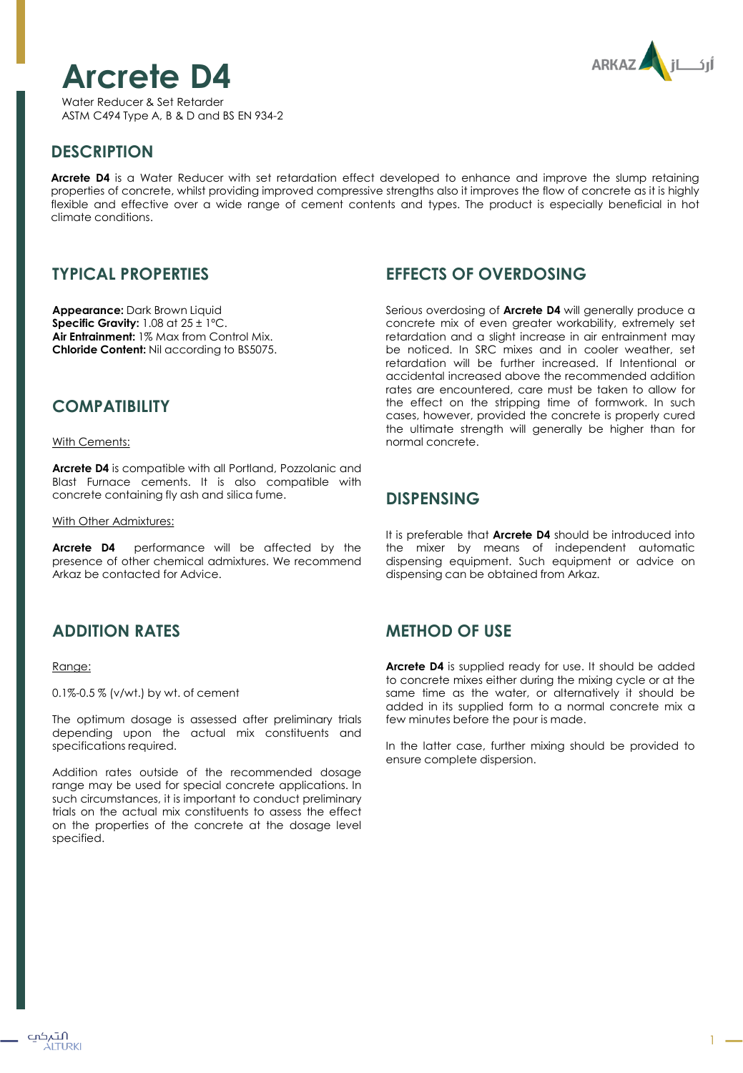





#### **DESCRIPTION**

**Arcrete D4** is a Water Reducer with set retardation effect developed to enhance and improve the slump retaining properties of concrete, whilst providing improved compressive strengths also it improves the flow of concrete as it is highly flexible and effective over a wide range of cement contents and types. The product is especially beneficial in hot climate conditions.

## **TYPICAL PROPERTIES**

**Appearance:** Dark Brown Liquid **Specific Gravity:** 1.08 at 25 ± 1ºC. **Air Entrainment:** 1% Max from Control Mix. **Chloride Content:** Nil according to BS5075.

#### **COMPATIBILITY**

With Cements:

**Arcrete D4** is compatible with all Portland, Pozzolanic and Blast Furnace cements. It is also compatible with concrete containing fly ash and silica fume.

With Other Admixtures:

**Arcrete D4** performance will be affected by the presence of other chemical admixtures. We recommend Arkaz be contacted for Advice.

# **ADDITION RATES**

#### Range:

0.1%-0.5 % (v/wt.) by wt. of cement

The optimum dosage is assessed after preliminary trials depending upon the actual mix constituents and specifications required.

Addition rates outside of the recommended dosage range may be used for special concrete applications. In such circumstances, it is important to conduct preliminary trials on the actual mix constituents to assess the effect on the properties of the concrete at the dosage level specified.

### **EFFECTS OF OVERDOSING**

Serious overdosing of **Arcrete D4** will generally produce a concrete mix of even greater workability, extremely set retardation and a slight increase in air entrainment may be noticed. In SRC mixes and in cooler weather, set retardation will be further increased. If Intentional or accidental increased above the recommended addition rates are encountered, care must be taken to allow for the effect on the stripping time of formwork. In such cases, however, provided the concrete is properly cured the ultimate strength will generally be higher than for normal concrete.

#### **DISPENSING**

It is preferable that **Arcrete D4** should be introduced into the mixer by means of independent automatic dispensing equipment. Such equipment or advice on dispensing can be obtained from Arkaz.

## **METHOD OF USE**

**Arcrete D4** is supplied ready for use. It should be added to concrete mixes either during the mixing cycle or at the same time as the water, or alternatively it should be added in its supplied form to a normal concrete mix a few minutes before the pour is made.

In the latter case, further mixing should be provided to ensure complete dispersion.